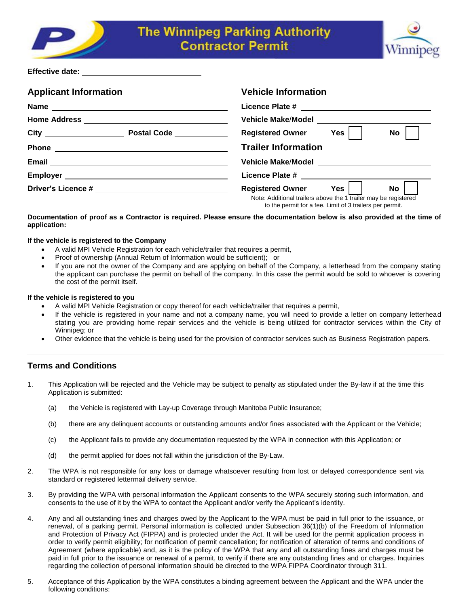



# **Effective date:**

| <b>Applicant Information</b>                                                                                                                                                                                                         | <b>Vehicle Information</b>                                                                                                                                                 |
|--------------------------------------------------------------------------------------------------------------------------------------------------------------------------------------------------------------------------------------|----------------------------------------------------------------------------------------------------------------------------------------------------------------------------|
|                                                                                                                                                                                                                                      |                                                                                                                                                                            |
|                                                                                                                                                                                                                                      | Vehicle Make/Model National Service Service Service Service Service Service Service Service Service Service Se                                                             |
| Postal Code <u>New York New York 1</u>                                                                                                                                                                                               | <b>Registered Owner</b><br>Yes<br><b>No</b>                                                                                                                                |
| <b>Phone</b><br><u> 1989 - Johann Barbara, martin amerikan basal dan berasal dalam basal dalam basal dalam basal dalam basal dala</u>                                                                                                | <b>Trailer Information</b>                                                                                                                                                 |
| Email <u>Communications</u>                                                                                                                                                                                                          |                                                                                                                                                                            |
| Employer <u>example and the set of the set of the set of the set of the set of the set of the set of the set of the set of the set of the set of the set of the set of the set of the set of the set of the set of the set of th</u> |                                                                                                                                                                            |
|                                                                                                                                                                                                                                      | <b>Registered Owner</b><br><b>No</b><br>Yes<br>Note: Additional trailers above the 1 trailer may be registered<br>to the permit for a fee. Limit of 3 trailers per permit. |

# **Documentation of proof as a Contractor is required. Please ensure the documentation below is also provided at the time of application:**

#### **If the vehicle is registered to the Company**

- A valid MPI Vehicle Registration for each vehicle/trailer that requires a permit,
- Proof of ownership (Annual Return of Information would be sufficient); or
- If you are not the owner of the Company and are applying on behalf of the Company, a letterhead from the company stating the applicant can purchase the permit on behalf of the company. In this case the permit would be sold to whoever is covering the cost of the permit itself.

#### **If the vehicle is registered to you**

- A valid MPI Vehicle Registration or copy thereof for each vehicle/trailer that requires a permit,
- If the vehicle is registered in your name and not a company name, you will need to provide a letter on company letterhead stating you are providing home repair services and the vehicle is being utilized for contractor services within the City of Winnipeg; or
- Other evidence that the vehicle is being used for the provision of contractor services such as Business Registration papers.

# **Terms and Conditions**

- 1. This Application will be rejected and the Vehicle may be subject to penalty as stipulated under the By-law if at the time this Application is submitted:
	- (a) the Vehicle is registered with Lay-up Coverage through Manitoba Public Insurance;
	- (b) there are any delinquent accounts or outstanding amounts and/or fines associated with the Applicant or the Vehicle;
	- (c) the Applicant fails to provide any documentation requested by the WPA in connection with this Application; or
	- (d) the permit applied for does not fall within the jurisdiction of the By-Law.
- 2. The WPA is not responsible for any loss or damage whatsoever resulting from lost or delayed correspondence sent via standard or registered lettermail delivery service.
- 3. By providing the WPA with personal information the Applicant consents to the WPA securely storing such information, and consents to the use of it by the WPA to contact the Applicant and/or verify the Applicant's identity.
- 4. Any and all outstanding fines and charges owed by the Applicant to the WPA must be paid in full prior to the issuance, or renewal, of a parking permit. Personal information is collected under Subsection 36(1)(b) of the Freedom of Information and Protection of Privacy Act (FIPPA) and is protected under the Act. It will be used for the permit application process in order to verify permit eligibility; for notification of permit cancellation; for notification of alteration of terms and conditions of Agreement (where applicable) and, as it is the policy of the WPA that any and all outstanding fines and charges must be paid in full prior to the issuance or renewal of a permit, to verify if there are any outstanding fines and or charges. Inquiries regarding the collection of personal information should be directed to the WPA FIPPA Coordinator through 311.
- 5. Acceptance of this Application by the WPA constitutes a binding agreement between the Applicant and the WPA under the following conditions: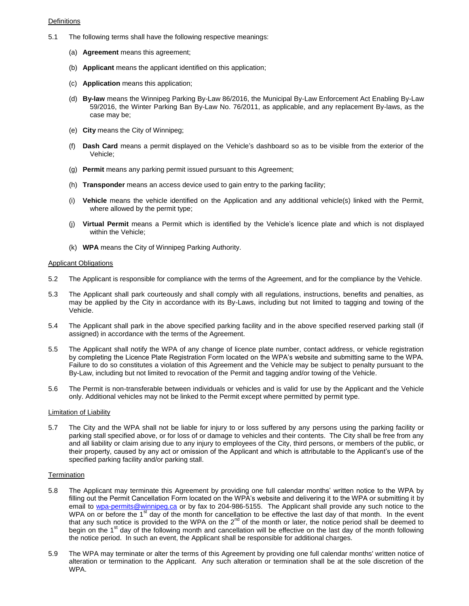## **Definitions**

- 5.1 The following terms shall have the following respective meanings:
	- (a) **Agreement** means this agreement;
	- (b) **Applicant** means the applicant identified on this application;
	- (c) **Application** means this application;
	- (d) **By-law** means the Winnipeg Parking By-Law 86/2016, the Municipal By-Law Enforcement Act Enabling By-Law 59/2016, the Winter Parking Ban By-Law No. 76/2011, as applicable, and any replacement By-laws, as the case may be;
	- (e) **City** means the City of Winnipeg;
	- (f) **Dash Card** means a permit displayed on the Vehicle's dashboard so as to be visible from the exterior of the Vehicle;
	- (g) **Permit** means any parking permit issued pursuant to this Agreement;
	- (h) **Transponder** means an access device used to gain entry to the parking facility;
	- (i) **Vehicle** means the vehicle identified on the Application and any additional vehicle(s) linked with the Permit, where allowed by the permit type;
	- (j) **Virtual Permit** means a Permit which is identified by the Vehicle's licence plate and which is not displayed within the Vehicle;
	- (k) **WPA** means the City of Winnipeg Parking Authority.

#### Applicant Obligations

- 5.2 The Applicant is responsible for compliance with the terms of the Agreement, and for the compliance by the Vehicle.
- 5.3 The Applicant shall park courteously and shall comply with all regulations, instructions, benefits and penalties, as may be applied by the City in accordance with its By-Laws, including but not limited to tagging and towing of the Vehicle.
- 5.4 The Applicant shall park in the above specified parking facility and in the above specified reserved parking stall (if assigned) in accordance with the terms of the Agreement.
- 5.5 The Applicant shall notify the WPA of any change of licence plate number, contact address, or vehicle registration by completing the Licence Plate Registration Form located on the WPA's website and submitting same to the WPA. Failure to do so constitutes a violation of this Agreement and the Vehicle may be subject to penalty pursuant to the By-Law, including but not limited to revocation of the Permit and tagging and/or towing of the Vehicle.
- 5.6 The Permit is non-transferable between individuals or vehicles and is valid for use by the Applicant and the Vehicle only. Additional vehicles may not be linked to the Permit except where permitted by permit type.

#### Limitation of Liability

5.7 The City and the WPA shall not be liable for injury to or loss suffered by any persons using the parking facility or parking stall specified above, or for loss of or damage to vehicles and their contents. The City shall be free from any and all liability or claim arising due to any injury to employees of the City, third persons, or members of the public, or their property, caused by any act or omission of the Applicant and which is attributable to the Applicant's use of the specified parking facility and/or parking stall.

## **Termination**

- 5.8 The Applicant may terminate this Agreement by providing one full calendar months' written notice to the WPA by filling out the Permit Cancellation Form located on the WPA's website and delivering it to the WPA or submitting it by email to wpa-permits@winnipeg.ca or by fax to 204-986-5155. The Applicant shall provide any such notice to the WPA on or before the 1<sup>st</sup> day of the month for cancellation to be effective the last day of that month. In the event that any such notice is provided to the WPA on the  $2^{nd}$  of the month or later, the notice period shall be deemed to begin on the 1<sup>st</sup> day of the following month and cancellation will be effective on the last day of the month following the notice period. In such an event, the Applicant shall be responsible for additional charges.
- 5.9 The WPA may terminate or alter the terms of this Agreement by providing one full calendar months' written notice of alteration or termination to the Applicant. Any such alteration or termination shall be at the sole discretion of the WPA.